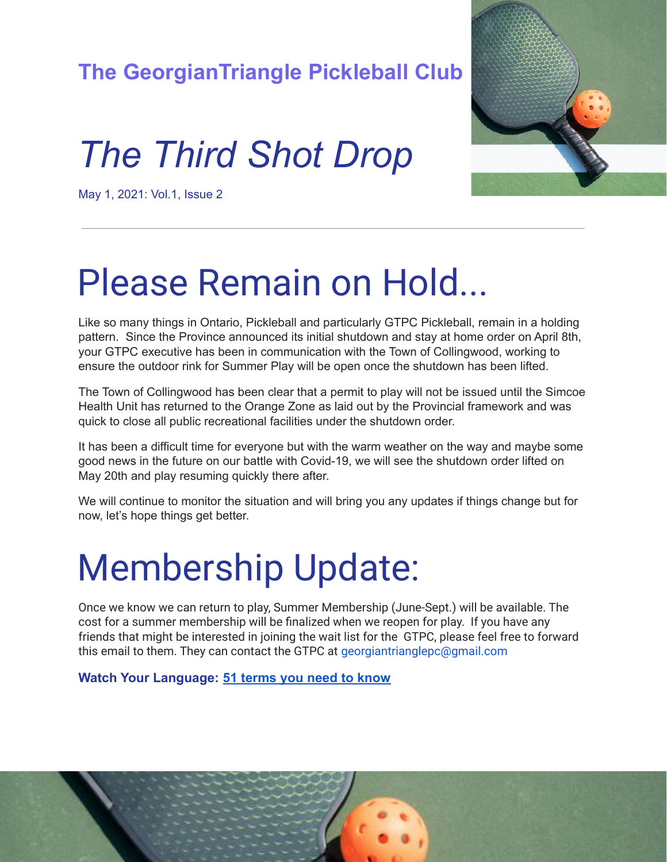#### **The GeorgianTriangle Pickleball Club**

#### *The Third Shot Drop*



May 1, 2021: Vol.1, Issue 2

# Please Remain on Hold...

Like so many things in Ontario, Pickleball and particularly GTPC Pickleball, remain in a holding pattern. Since the Province announced its initial shutdown and stay at home order on April 8th, your GTPC executive has been in communication with the Town of Collingwood, working to ensure the outdoor rink for Summer Play will be open once the shutdown has been lifted.

The Town of Collingwood has been clear that a permit to play will not be issued until the Simcoe Health Unit has returned to the Orange Zone as laid out by the Provincial framework and was quick to close all public recreational facilities under the shutdown order.

It has been a difficult time for everyone but with the warm weather on the way and maybe some good news in the future on our battle with Covid-19, we will see the shutdown order lifted on May 20th and play resuming quickly there after.

We will continue to monitor the situation and will bring you any updates if things change but for now, let's hope things get better.

### Membership Update:

Once we know we can return to play, Summer Membership (June-Sept.) will be available. The cost for a summer membership will be finalized when we reopen for play. If you have any friends that might be interested in joining the wait list for the GTPC, please feel free to forward this email to them. They can contact the GTPC at georgiantrianglepc@gmail.com

**Watch Your Language: [51 terms you need to know](https://www.pinkpickleball.com/pickleball-terms-phrases/)**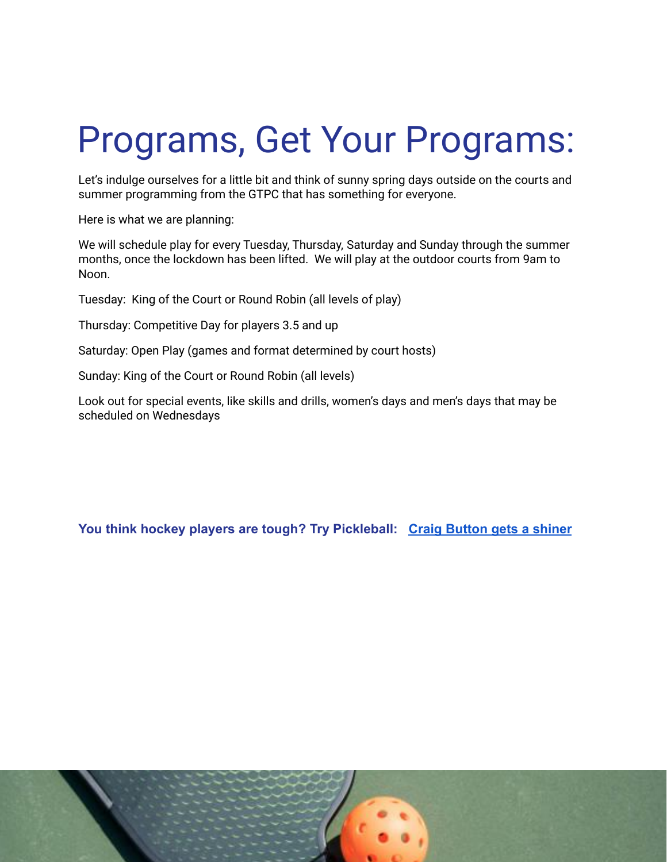# Programs, Get Your Programs:

Let's indulge ourselves for a little bit and think of sunny spring days outside on the courts and summer programming from the GTPC that has something for everyone.

Here is what we are planning:

We will schedule play for every Tuesday, Thursday, Saturday and Sunday through the summer months, once the lockdown has been lifted. We will play at the outdoor courts from 9am to Noon.

Tuesday: King of the Court or Round Robin (all levels of play)

Thursday: Competitive Day for players 3.5 and up

Saturday: Open Play (games and format determined by court hosts)

Sunday: King of the Court or Round Robin (all levels)

Look out for special events, like skills and drills, women's days and men's days that may be scheduled on Wednesdays

**You think hockey players are tough? Try Pickleball: [Craig Button gets a shiner](https://www.bardown.com/craig-button-s-epic-shiner-has-been-the-star-of-tradecentre-so-far-1.1622243)**